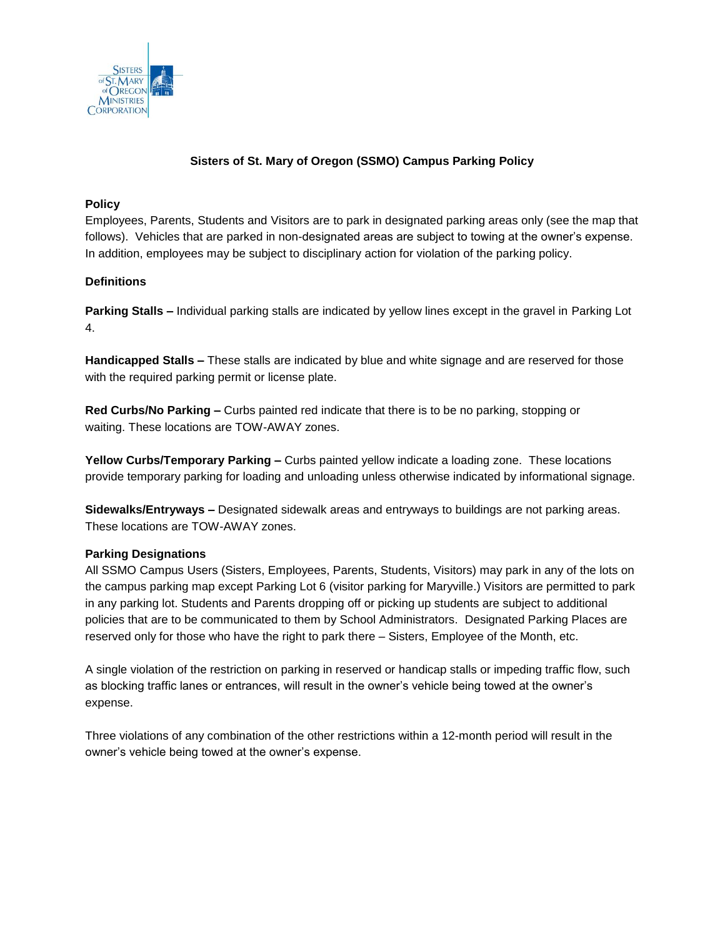

## **Sisters of St. Mary of Oregon (SSMO) Campus Parking Policy**

## **Policy**

Employees, Parents, Students and Visitors are to park in designated parking areas only (see the map that follows). Vehicles that are parked in non-designated areas are subject to towing at the owner's expense. In addition, employees may be subject to disciplinary action for violation of the parking policy.

## **Definitions**

**Parking Stalls –** Individual parking stalls are indicated by yellow lines except in the gravel in Parking Lot 4.

**Handicapped Stalls –** These stalls are indicated by blue and white signage and are reserved for those with the required parking permit or license plate.

**Red Curbs/No Parking –** Curbs painted red indicate that there is to be no parking, stopping or waiting. These locations are TOW-AWAY zones.

**Yellow Curbs/Temporary Parking –** Curbs painted yellow indicate a loading zone. These locations provide temporary parking for loading and unloading unless otherwise indicated by informational signage.

**Sidewalks/Entryways –** Designated sidewalk areas and entryways to buildings are not parking areas. These locations are TOW-AWAY zones.

## **Parking Designations**

All SSMO Campus Users (Sisters, Employees, Parents, Students, Visitors) may park in any of the lots on the campus parking map except Parking Lot 6 (visitor parking for Maryville.) Visitors are permitted to park in any parking lot. Students and Parents dropping off or picking up students are subject to additional policies that are to be communicated to them by School Administrators. Designated Parking Places are reserved only for those who have the right to park there – Sisters, Employee of the Month, etc.

A single violation of the restriction on parking in reserved or handicap stalls or impeding traffic flow, such as blocking traffic lanes or entrances, will result in the owner's vehicle being towed at the owner's expense.

Three violations of any combination of the other restrictions within a 12-month period will result in the owner's vehicle being towed at the owner's expense.